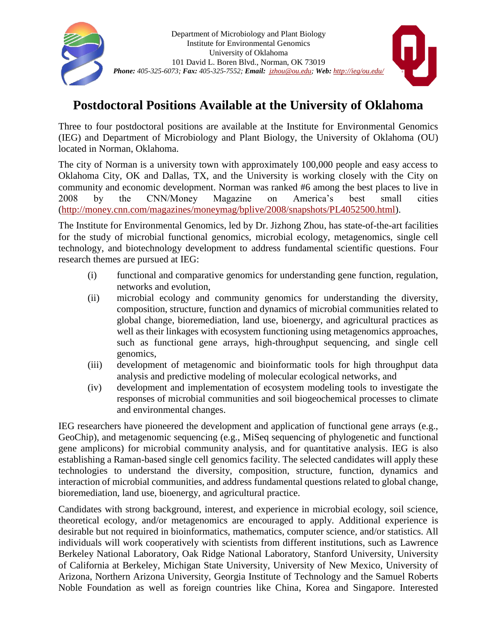

## **Postdoctoral Positions Available at the University of Oklahoma**

Three to four postdoctoral positions are available at the Institute for Environmental Genomics (IEG) and Department of Microbiology and Plant Biology, the University of Oklahoma (OU) located in Norman, Oklahoma.

The city of Norman is a university town with approximately 100,000 people and easy access to Oklahoma City, OK and Dallas, TX, and the University is working closely with the City on community and economic development. Norman was ranked #6 among the best places to live in 2008 by the CNN/Money Magazine on America's best small cities [\(http://money.cnn.com/magazines/moneymag/bplive/2008/snapshots/PL4052500.html\)](http://money.cnn.com/magazines/moneymag/bplive/2008/snapshots/PL4052500.html).

The Institute for Environmental Genomics, led by Dr. Jizhong Zhou, has state-of-the-art facilities for the study of microbial functional genomics, microbial ecology, metagenomics, single cell technology, and biotechnology development to address fundamental scientific questions. Four research themes are pursued at IEG:

- (i) functional and comparative genomics for understanding gene function, regulation, networks and evolution,
- (ii) microbial ecology and community genomics for understanding the diversity, composition, structure, function and dynamics of microbial communities related to global change, bioremediation, land use, bioenergy, and agricultural practices as well as their linkages with ecosystem functioning using metagenomics approaches, such as functional gene arrays, high-throughput sequencing, and single cell genomics,
- (iii) development of metagenomic and bioinformatic tools for high throughput data analysis and predictive modeling of molecular ecological networks, and
- (iv) development and implementation of ecosystem modeling tools to investigate the responses of microbial communities and soil biogeochemical processes to climate and environmental changes.

IEG researchers have pioneered the development and application of functional gene arrays (e.g., GeoChip), and metagenomic sequencing (e.g., MiSeq sequencing of phylogenetic and functional gene amplicons) for microbial community analysis, and for quantitative analysis. IEG is also establishing a Raman-based single cell genomics facility. The selected candidates will apply these technologies to understand the diversity, composition, structure, function, dynamics and interaction of microbial communities, and address fundamental questions related to global change, bioremediation, land use, bioenergy, and agricultural practice.

Candidates with strong background, interest, and experience in microbial ecology, soil science, theoretical ecology, and/or metagenomics are encouraged to apply. Additional experience is desirable but not required in bioinformatics, mathematics, computer science, and/or statistics. All individuals will work cooperatively with scientists from different institutions, such as Lawrence Berkeley National Laboratory, Oak Ridge National Laboratory, Stanford University, University of California at Berkeley, Michigan State University, University of New Mexico, University of Arizona, Northern Arizona University, Georgia Institute of Technology and the Samuel Roberts Noble Foundation as well as foreign countries like China, Korea and Singapore. Interested